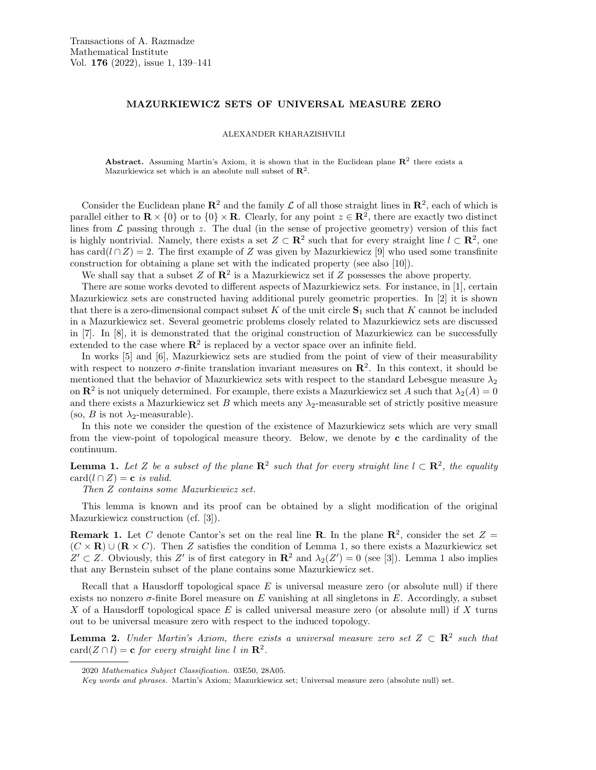# MAZURKIEWICZ SETS OF UNIVERSAL MEASURE ZERO

#### ALEXANDER KHARAZISHVILI

**Abstract.** Assuming Martin's Axiom, it is shown that in the Euclidean plane  $\mathbb{R}^2$  there exists a Mazurkiewicz set which is an absolute null subset of  $\mathbb{R}^2$ .

Consider the Euclidean plane  $\mathbb{R}^2$  and the family  $\mathcal L$  of all those straight lines in  $\mathbb{R}^2$ , each of which is parallel either to  $\mathbf{R} \times \{0\}$  or to  $\{0\} \times \mathbf{R}$ . Clearly, for any point  $z \in \mathbf{R}^2$ , there are exactly two distinct lines from  $\mathcal L$  passing through z. The dual (in the sense of projective geometry) version of this fact is highly nontrivial. Namely, there exists a set  $Z \subset \mathbf{R}^2$  such that for every straight line  $l \subset \mathbf{R}^2$ , one has card(l ∩ Z) = 2. The first example of Z was given by Mazurkiewicz [9] who used some transfinite construction for obtaining a plane set with the indicated property (see also [10]).

We shall say that a subset  $Z$  of  $\mathbb{R}^2$  is a Mazurkiewicz set if  $Z$  possesses the above property.

There are some works devoted to different aspects of Mazurkiewicz sets. For instance, in [1], certain Mazurkiewicz sets are constructed having additional purely geometric properties. In [2] it is shown that there is a zero-dimensional compact subset K of the unit circle  $S_1$  such that K cannot be included in a Mazurkiewicz set. Several geometric problems closely related to Mazurkiewicz sets are discussed in [7]. In [8], it is demonstrated that the original construction of Mazurkiewicz can be successfully extended to the case where  $\mathbb{R}^2$  is replaced by a vector space over an infinite field.

In works [5] and [6], Mazurkiewicz sets are studied from the point of view of their measurability with respect to nonzero  $\sigma$ -finite translation invariant measures on  $\mathbb{R}^2$ . In this context, it should be mentioned that the behavior of Mazurkiewicz sets with respect to the standard Lebesgue measure  $\lambda_2$ on  $\mathbb{R}^2$  is not uniquely determined. For example, there exists a Mazurkiewicz set A such that  $\lambda_2(A) = 0$ and there exists a Mazurkiewicz set B which meets any  $\lambda_2$ -measurable set of strictly positive measure (so, *B* is not  $\lambda_2$ -measurable).

In this note we consider the question of the existence of Mazurkiewicz sets which are very small from the view-point of topological measure theory. Below, we denote by c the cardinality of the continuum.

**Lemma 1.** Let Z be a subset of the plane  $\mathbb{R}^2$  such that for every straight line  $l \subset \mathbb{R}^2$ , the equality  $card(l \cap Z) = \mathbf{c}$  is valid.

Then Z contains some Mazurkiewicz set.

This lemma is known and its proof can be obtained by a slight modification of the original Mazurkiewicz construction (cf. [3]).

**Remark 1.** Let C denote Cantor's set on the real line **R**. In the plane  $\mathbb{R}^2$ , consider the set  $Z =$  $(C \times \mathbf{R}) \cup (\mathbf{R} \times C)$ . Then Z satisfies the condition of Lemma 1, so there exists a Mazurkiewicz set  $Z' \subset Z$ . Obviously, this Z' is of first category in  $\mathbb{R}^2$  and  $\lambda_2(Z') = 0$  (see [3]). Lemma 1 also implies that any Bernstein subset of the plane contains some Mazurkiewicz set.

Recall that a Hausdorff topological space  $E$  is universal measure zero (or absolute null) if there exists no nonzero  $\sigma$ -finite Borel measure on E vanishing at all singletons in E. Accordingly, a subset X of a Hausdorff topological space  $E$  is called universal measure zero (or absolute null) if X turns out to be universal measure zero with respect to the induced topology.

**Lemma 2.** Under Martin's Axiom, there exists a universal measure zero set  $Z \subset \mathbb{R}^2$  such that card $(Z \cap l) = \mathbf{c}$  for every straight line l in  $\mathbf{R}^2$ .

<sup>2020</sup> Mathematics Subject Classification. 03E50, 28A05.

Key words and phrases. Martin's Axiom; Mazurkiewicz set; Universal measure zero (absolute null) set.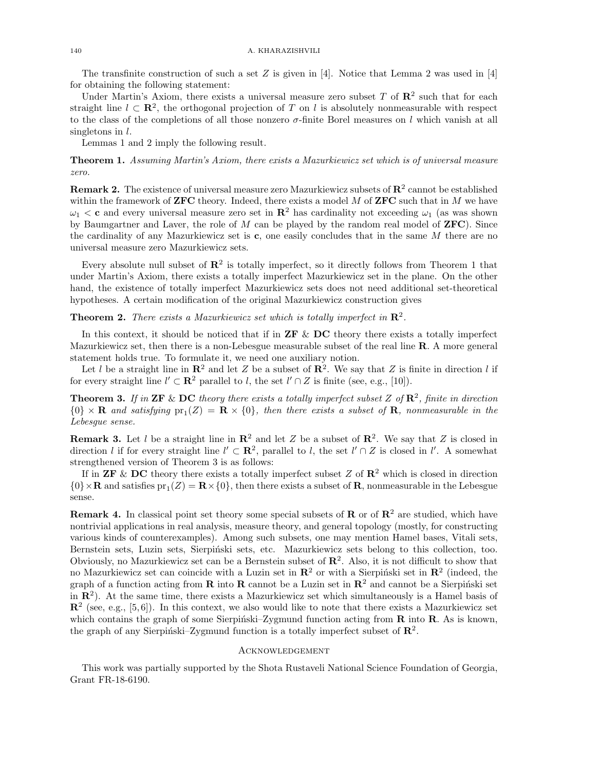The transfinite construction of such a set  $Z$  is given in [4]. Notice that Lemma 2 was used in [4] for obtaining the following statement:

Under Martin's Axiom, there exists a universal measure zero subset T of  $\mathbb{R}^2$  such that for each straight line  $l \text{ }\subset \mathbb{R}^2$ , the orthogonal projection of T on l is absolutely nonmeasurable with respect to the class of the completions of all those nonzero  $\sigma$ -finite Borel measures on l which vanish at all singletons in  $l$ .

Lemmas 1 and 2 imply the following result.

Theorem 1. Assuming Martin's Axiom, there exists a Mazurkiewicz set which is of universal measure zero.

**Remark 2.** The existence of universal measure zero Mazurkiewicz subsets of  $\mathbb{R}^2$  cannot be established within the framework of **ZFC** theory. Indeed, there exists a model  $M$  of **ZFC** such that in  $M$  we have  $\omega_1 < c$  and every universal measure zero set in  $\mathbb{R}^2$  has cardinality not exceeding  $\omega_1$  (as was shown by Baumgartner and Laver, the role of  $M$  can be played by the random real model of  $\mathbf{ZFC}$ ). Since the cardinality of any Mazurkiewicz set is  $c$ , one easily concludes that in the same  $M$  there are no universal measure zero Mazurkiewicz sets.

Every absolute null subset of  $\mathbb{R}^2$  is totally imperfect, so it directly follows from Theorem 1 that under Martin's Axiom, there exists a totally imperfect Mazurkiewicz set in the plane. On the other hand, the existence of totally imperfect Mazurkiewicz sets does not need additional set-theoretical hypotheses. A certain modification of the original Mazurkiewicz construction gives

**Theorem 2.** There exists a Mazurkiewicz set which is totally imperfect in  $\mathbb{R}^2$ .

In this context, it should be noticed that if in  $\mathbf{ZF}\ \&\ \mathbf{DC}$  theory there exists a totally imperfect Mazurkiewicz set, then there is a non-Lebesgue measurable subset of the real line R. A more general statement holds true. To formulate it, we need one auxiliary notion.

Let l be a straight line in  $\mathbb{R}^2$  and let Z be a subset of  $\mathbb{R}^2$ . We say that Z is finite in direction l if for every straight line  $l' \subset \mathbb{R}^2$  parallel to l, the set  $l' \cap Z$  is finite (see, e.g., [10]).

**Theorem 3.** If in **ZF** & **DC** theory there exists a totally imperfect subset Z of  $\mathbb{R}^2$ , finite in direction  ${0} \times \mathbf{R}$  and satisfying  $pr_1(Z) = \mathbf{R} \times {0}$ , then there exists a subset of  $\mathbf{R}$ , nonmeasurable in the Lebesgue sense.

**Remark 3.** Let l be a straight line in  $\mathbb{R}^2$  and let Z be a subset of  $\mathbb{R}^2$ . We say that Z is closed in direction l if for every straight line  $l' \subset \mathbb{R}^2$ , parallel to l, the set  $l' \cap Z$  is closed in l'. A somewhat strengthened version of Theorem 3 is as follows:

If in **ZF** & **DC** theory there exists a totally imperfect subset Z of  $\mathbb{R}^2$  which is closed in direction  $\{0\} \times \mathbf{R}$  and satisfies  $pr_1(Z) = \mathbf{R} \times \{0\}$ , then there exists a subset of **R**, nonmeasurable in the Lebesgue sense.

**Remark 4.** In classical point set theory some special subsets of  $\mathbb{R}^2$  or of  $\mathbb{R}^2$  are studied, which have nontrivial applications in real analysis, measure theory, and general topology (mostly, for constructing various kinds of counterexamples). Among such subsets, one may mention Hamel bases, Vitali sets, Bernstein sets, Luzin sets, Sierpiński sets, etc. Mazurkiewicz sets belong to this collection, too. Obviously, no Mazurkiewicz set can be a Bernstein subset of  $\mathbb{R}^2$ . Also, it is not difficult to show that no Mazurkiewicz set can coincide with a Luzin set in  $\mathbb{R}^2$  or with a Sierpiński set in  $\mathbb{R}^2$  (indeed, the graph of a function acting from **R** into **R** cannot be a Luzin set in  $\mathbb{R}^2$  and cannot be a Sierpiński set in  $\mathbb{R}^2$ ). At the same time, there exists a Mazurkiewicz set which simultaneously is a Hamel basis of  $\mathbb{R}^2$  (see, e.g., [5,6]). In this context, we also would like to note that there exists a Mazurkiewicz set which contains the graph of some Sierpiński–Zygmund function acting from  $\bf{R}$  into  $\bf{R}$ . As is known, the graph of any Sierpiński–Zygmund function is a totally imperfect subset of  $\mathbb{R}^2$ .

### Acknowledgement

This work was partially supported by the Shota Rustaveli National Science Foundation of Georgia, Grant FR-18-6190.